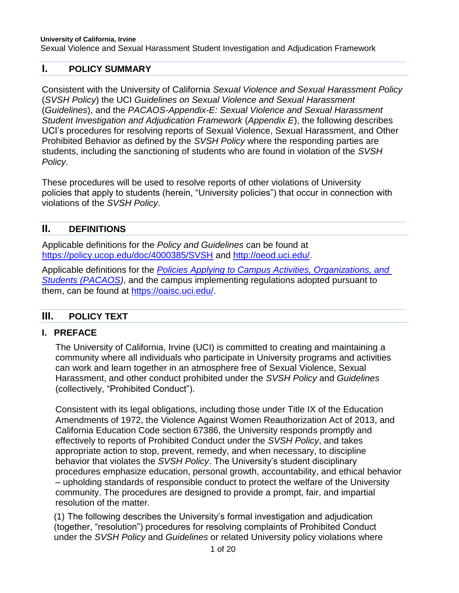## **I. POLICY SUMMARY**

Consistent with the University of California *Sexual Violence and Sexual Harassment Policy* (*SVSH Policy*) the UCI *Guidelines on Sexual Violence and Sexual Harassment* (*Guidelines*), and the *PACAOS-Appendix-E: Sexual Violence and Sexual Harassment Student Investigation and Adjudication Framework* (*Appendix E*), the following describes UCI's procedures for resolving reports of Sexual Violence, Sexual Harassment, and Other Prohibited Behavior as defined by the *SVSH Policy* where the responding parties are students, including the sanctioning of students who are found in violation of the *SVSH Policy*.

These procedures will be used to resolve reports of other violations of University policies that apply to students (herein, "University policies") that occur in connection with violations of the *SVSH Policy*.

# **II. DEFINITIONS**

Applicable definitions for the *Policy and Guidelines* can be found at <https://policy.ucop.edu/doc/4000385/SVSH> and [http://oeod.uci.edu/.](http://oeod.uci.edu/)

Applicable definitions for the *[Policies Applying to Campus Activities, Organizations, and](https://www.ucop.edu/student-affairs/policies/student-life-policies/pacaos.html)* **[Students \(PACAOS\)](https://www.ucop.edu/student-affairs/policies/student-life-policies/pacaos.html)**, and the campus implementing regulations adopted pursuant to them, can be found at [https://oaisc.uci.edu/.](https://oaisc.uci.edu/)

# **III. POLICY TEXT**

# **I. PREFACE**

The University of California, Irvine (UCI) is committed to creating and maintaining a community where all individuals who participate in University programs and activities can work and learn together in an atmosphere free of Sexual Violence, Sexual Harassment, and other conduct prohibited under the *SVSH Policy* and *Guidelines* (collectively, "Prohibited Conduct").

Consistent with its legal obligations, including those under Title IX of the Education Amendments of 1972, the Violence Against Women Reauthorization Act of 2013, and California Education Code section 67386, the University responds promptly and effectively to reports of Prohibited Conduct under the *SVSH Policy*, and takes appropriate action to stop, prevent, remedy, and when necessary, to discipline behavior that violates the *SVSH Policy*. The University's student disciplinary procedures emphasize education, personal growth, accountability, and ethical behavior – upholding standards of responsible conduct to protect the welfare of the University community. The procedures are designed to provide a prompt, fair, and impartial resolution of the matter.

(1) The following describes the University's formal investigation and adjudication (together, "resolution") procedures for resolving complaints of Prohibited Conduct under the *SVSH Policy* and *Guidelines* or related University policy violations where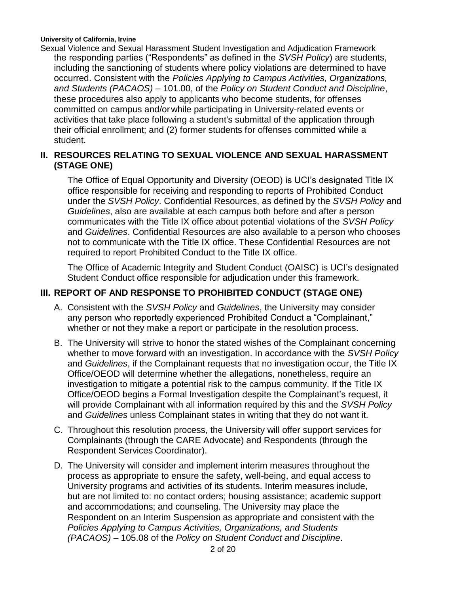Sexual Violence and Sexual Harassment Student Investigation and Adjudication Framework the responding parties ("Respondents" as defined in the *SVSH Policy*) are students, including the sanctioning of students where policy violations are determined to have occurred. Consistent with the *Policies Applying to Campus Activities, Organizations, and Students (PACAOS)* – 101.00, of the *Policy on Student Conduct and Discipline*, these procedures also apply to applicants who become students, for offenses committed on campus and/orwhile participating in University-related events or activities that take place following a student's submittal of the application through their official enrollment; and (2) former students for offenses committed while a student.

## **II. RESOURCES RELATING TO SEXUAL VIOLENCE AND SEXUAL HARASSMENT (STAGE ONE)**

The Office of Equal Opportunity and Diversity (OEOD) is UCI's designated Title IX office responsible for receiving and responding to reports of Prohibited Conduct under the *SVSH Policy*. Confidential Resources, as defined by the *SVSH Policy* and *Guidelines*, also are available at each campus both before and after a person communicates with the Title IX office about potential violations of the *SVSH Policy*  and *Guidelines*. Confidential Resources are also available to a person who chooses not to communicate with the Title IX office. These Confidential Resources are not required to report Prohibited Conduct to the Title IX office.

The Office of Academic Integrity and Student Conduct (OAISC) is UCI's designated Student Conduct office responsible for adjudication under this framework.

## **III. REPORT OF AND RESPONSE TO PROHIBITED CONDUCT (STAGE ONE)**

- A. Consistent with the *SVSH Policy* and *Guidelines*, the University may consider any person who reportedly experienced Prohibited Conduct a "Complainant," whether or not they make a report or participate in the resolution process.
- B. The University will strive to honor the stated wishes of the Complainant concerning whether to move forward with an investigation. In accordance with the *SVSH Policy*  and *Guidelines*, if the Complainant requests that no investigation occur, the Title IX Office/OEOD will determine whether the allegations, nonetheless, require an investigation to mitigate a potential risk to the campus community. If the Title IX Office/OEOD begins a Formal Investigation despite the Complainant's request, it will provide Complainant with all information required by this and the *SVSH Policy*  and *Guidelines* unless Complainant states in writing that they do not want it.
- C. Throughout this resolution process, the University will offer support services for Complainants (through the CARE Advocate) and Respondents (through the Respondent Services Coordinator).
- D. The University will consider and implement interim measures throughout the process as appropriate to ensure the safety, well-being, and equal access to University programs and activities of its students. Interim measures include, but are not limited to: no contact orders; housing assistance; academic support and accommodations; and counseling. The University may place the Respondent on an Interim Suspension as appropriate and consistent with the *Policies Applying to Campus Activities, Organizations, and Students (PACAOS) –* 105.08 of the *Policy on Student Conduct and Discipline*.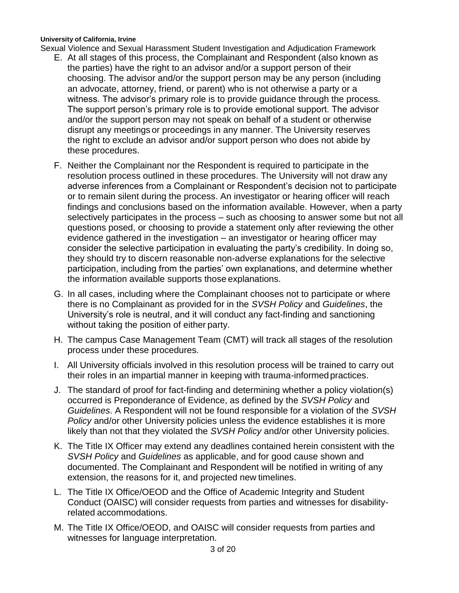- Sexual Violence and Sexual Harassment Student Investigation and Adjudication Framework E. At all stages of this process, the Complainant and Respondent (also known as the parties) have the right to an advisor and/or a support person of their choosing. The advisor and/or the support person may be any person (including an advocate, attorney, friend, or parent) who is not otherwise a party or a witness. The advisor's primary role is to provide guidance through the process. The support person's primary role is to provide emotional support. The advisor and/or the support person may not speak on behalf of a student or otherwise disrupt any meetings or proceedings in any manner. The University reserves the right to exclude an advisor and/or support person who does not abide by these procedures.
	- F. Neither the Complainant nor the Respondent is required to participate in the resolution process outlined in these procedures. The University will not draw any adverse inferences from a Complainant or Respondent's decision not to participate or to remain silent during the process. An investigator or hearing officer will reach findings and conclusions based on the information available. However, when a party selectively participates in the process – such as choosing to answer some but not all questions posed, or choosing to provide a statement only after reviewing the other evidence gathered in the investigation – an investigator or hearing officer may consider the selective participation in evaluating the party's credibility. In doing so, they should try to discern reasonable non-adverse explanations for the selective participation, including from the parties' own explanations, and determine whether the information available supports those explanations.
	- G. In all cases, including where the Complainant chooses not to participate or where there is no Complainant as provided for in the *SVSH Policy* and *Guidelines*, the University's role is neutral, and it will conduct any fact-finding and sanctioning without taking the position of either party.
	- H. The campus Case Management Team (CMT) will track all stages of the resolution process under these procedures.
	- I. All University officials involved in this resolution process will be trained to carry out their roles in an impartial manner in keeping with trauma-informedpractices.
	- J. The standard of proof for fact-finding and determining whether a policy violation(s) occurred is Preponderance of Evidence, as defined by the *SVSH Policy* and *Guidelines*. A Respondent will not be found responsible for a violation of the *SVSH Policy* and/or other University policies unless the evidence establishes it is more likely than not that they violated the *SVSH Policy* and/or other University policies.
	- K. The Title IX Officer may extend any deadlines contained herein consistent with the *SVSH Policy* and *Guidelines* as applicable, and for good cause shown and documented. The Complainant and Respondent will be notified in writing of any extension, the reasons for it, and projected new timelines.
	- L. The Title IX Office/OEOD and the Office of Academic Integrity and Student Conduct (OAISC) will consider requests from parties and witnesses for disabilityrelated accommodations.
	- M. The Title IX Office/OEOD, and OAISC will consider requests from parties and witnesses for language interpretation.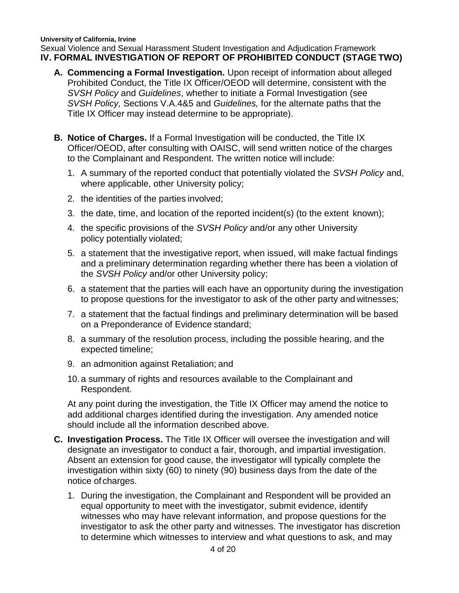**University of California, Irvine**  Sexual Violence and Sexual Harassment Student Investigation and Adjudication Framework **IV. FORMAL INVESTIGATION OF REPORT OF PROHIBITED CONDUCT (STAGE TWO)**

- **A. Commencing a Formal Investigation.** Upon receipt of information about alleged Prohibited Conduct, the Title IX Officer/OEOD will determine, consistent with the *SVSH Policy* and *Guidelines*, whether to initiate a Formal Investigation (see *SVSH Policy,* Sections V.A.4&5 and *Guidelines,* for the alternate paths that the Title IX Officer may instead determine to be appropriate).
- **B. Notice of Charges.** If a Formal Investigation will be conducted, the Title IX Officer/OEOD, after consulting with OAISC, will send written notice of the charges to the Complainant and Respondent. The written notice will include:
	- 1. A summary of the reported conduct that potentially violated the *SVSH Policy* and, where applicable, other University policy;
	- 2. the identities of the parties involved;
	- 3. the date, time, and location of the reported incident(s) (to the extent known);
	- 4. the specific provisions of the *SVSH Policy* and/or any other University policy potentially violated;
	- 5. a statement that the investigative report, when issued, will make factual findings and a preliminary determination regarding whether there has been a violation of the *SVSH Policy* and/or other University policy;
	- 6. a statement that the parties will each have an opportunity during the investigation to propose questions for the investigator to ask of the other party and witnesses;
	- 7. a statement that the factual findings and preliminary determination will be based on a Preponderance of Evidence standard;
	- 8. a summary of the resolution process, including the possible hearing, and the expected timeline;
	- 9. an admonition against Retaliation; and
	- 10. a summary of rights and resources available to the Complainant and Respondent.

At any point during the investigation, the Title IX Officer may amend the notice to add additional charges identified during the investigation. Any amended notice should include all the information described above.

- **C. Investigation Process.** The Title IX Officer will oversee the investigation and will designate an investigator to conduct a fair, thorough, and impartial investigation. Absent an extension for good cause, the investigator will typically complete the investigation within sixty (60) to ninety (90) business days from the date of the notice of charges.
	- 1. During the investigation, the Complainant and Respondent will be provided an equal opportunity to meet with the investigator, submit evidence, identify witnesses who may have relevant information, and propose questions for the investigator to ask the other party and witnesses. The investigator has discretion to determine which witnesses to interview and what questions to ask, and may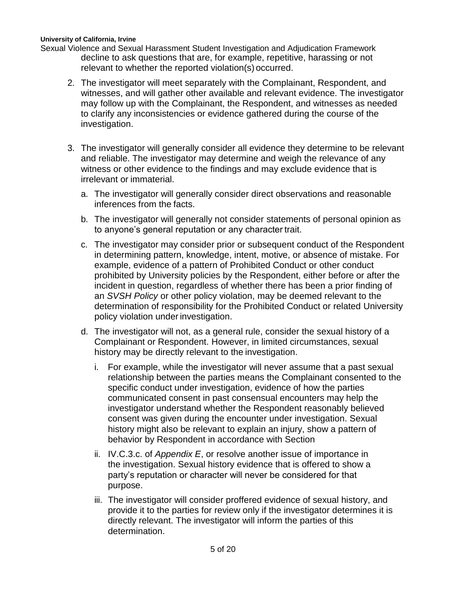- Sexual Violence and Sexual Harassment Student Investigation and Adjudication Framework decline to ask questions that are, for example, repetitive, harassing or not relevant to whether the reported violation(s) occurred.
	- 2. The investigator will meet separately with the Complainant, Respondent, and witnesses, and will gather other available and relevant evidence. The investigator may follow up with the Complainant, the Respondent, and witnesses as needed to clarify any inconsistencies or evidence gathered during the course of the investigation.
	- 3. The investigator will generally consider all evidence they determine to be relevant and reliable. The investigator may determine and weigh the relevance of any witness or other evidence to the findings and may exclude evidence that is irrelevant or immaterial.
		- a. The investigator will generally consider direct observations and reasonable inferences from the facts.
		- b. The investigator will generally not consider statements of personal opinion as to anyone's general reputation or any character trait.
		- c. The investigator may consider prior or subsequent conduct of the Respondent in determining pattern, knowledge, intent, motive, or absence of mistake. For example, evidence of a pattern of Prohibited Conduct or other conduct prohibited by University policies by the Respondent, either before or after the incident in question, regardless of whether there has been a prior finding of an *SVSH Policy* or other policy violation, may be deemed relevant to the determination of responsibility for the Prohibited Conduct or related University policy violation under investigation.
		- d. The investigator will not, as a general rule, consider the sexual history of a Complainant or Respondent. However, in limited circumstances, sexual history may be directly relevant to the investigation.
			- i. For example, while the investigator will never assume that a past sexual relationship between the parties means the Complainant consented to the specific conduct under investigation, evidence of how the parties communicated consent in past consensual encounters may help the investigator understand whether the Respondent reasonably believed consent was given during the encounter under investigation. Sexual history might also be relevant to explain an injury, show a pattern of behavior by Respondent in accordance with Section
			- ii. IV.C.3.c. of *Appendix E*, or resolve another issue of importance in the investigation. Sexual history evidence that is offered to show a party's reputation or character will never be considered for that purpose.
			- iii. The investigator will consider proffered evidence of sexual history, and provide it to the parties for review only if the investigator determines it is directly relevant. The investigator will inform the parties of this determination.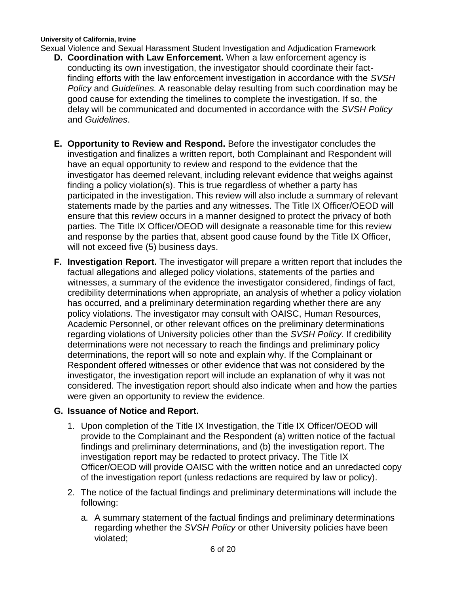- Sexual Violence and Sexual Harassment Student Investigation and Adjudication Framework **D. Coordination with Law Enforcement.** When a law enforcement agency is conducting its own investigation, the investigator should coordinate their factfinding efforts with the law enforcement investigation in accordance with the *SVSH Policy* and *Guidelines.* A reasonable delay resulting from such coordination may be good cause for extending the timelines to complete the investigation. If so, the delay will be communicated and documented in accordance with the *SVSH Policy*  and *Guidelines*.
	- **E. Opportunity to Review and Respond.** Before the investigator concludes the investigation and finalizes a written report, both Complainant and Respondent will have an equal opportunity to review and respond to the evidence that the investigator has deemed relevant, including relevant evidence that weighs against finding a policy violation(s). This is true regardless of whether a party has participated in the investigation. This review will also include a summary of relevant statements made by the parties and any witnesses. The Title IX Officer/OEOD will ensure that this review occurs in a manner designed to protect the privacy of both parties. The Title IX Officer/OEOD will designate a reasonable time for this review and response by the parties that, absent good cause found by the Title IX Officer, will not exceed five (5) business days.
	- **F. Investigation Report.** The investigator will prepare a written report that includes the factual allegations and alleged policy violations, statements of the parties and witnesses, a summary of the evidence the investigator considered, findings of fact, credibility determinations when appropriate, an analysis of whether a policy violation has occurred, and a preliminary determination regarding whether there are any policy violations. The investigator may consult with OAISC, Human Resources, Academic Personnel, or other relevant offices on the preliminary determinations regarding violations of University policies other than the *SVSH Policy*. If credibility determinations were not necessary to reach the findings and preliminary policy determinations, the report will so note and explain why. If the Complainant or Respondent offered witnesses or other evidence that was not considered by the investigator, the investigation report will include an explanation of why it was not considered. The investigation report should also indicate when and how the parties were given an opportunity to review the evidence.

# **G. Issuance of Notice and Report.**

- 1. Upon completion of the Title IX Investigation, the Title IX Officer/OEOD will provide to the Complainant and the Respondent (a) written notice of the factual findings and preliminary determinations, and (b) the investigation report. The investigation report may be redacted to protect privacy. The Title IX Officer/OEOD will provide OAISC with the written notice and an unredacted copy of the investigation report (unless redactions are required by law or policy).
- 2. The notice of the factual findings and preliminary determinations will include the following:
	- a. A summary statement of the factual findings and preliminary determinations regarding whether the *SVSH Policy* or other University policies have been violated;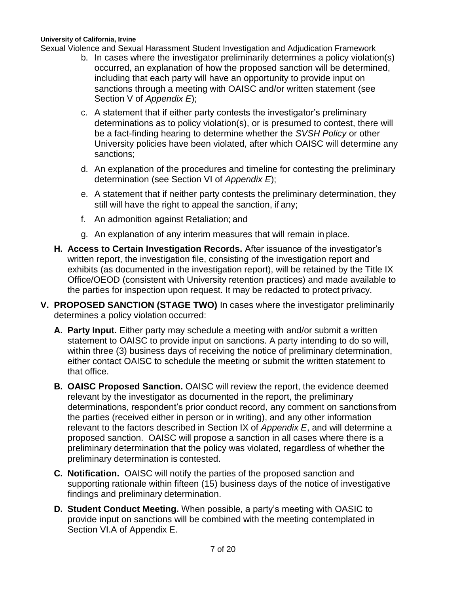Sexual Violence and Sexual Harassment Student Investigation and Adjudication Framework

- b. In cases where the investigator preliminarily determines a policy violation(s) occurred, an explanation of how the proposed sanction will be determined, including that each party will have an opportunity to provide input on sanctions through a meeting with OAISC and/or written statement (see Section V of *Appendix E*);
- c. A statement that if either party contests the investigator's preliminary determinations as to policy violation(s), or is presumed to contest, there will be a fact-finding hearing to determine whether the *SVSH Policy* or other University policies have been violated, after which OAISC will determine any sanctions;
- d. An explanation of the procedures and timeline for contesting the preliminary determination (see Section VI of *Appendix E*);
- e. A statement that if neither party contests the preliminary determination, they still will have the right to appeal the sanction, if any;
- f. An admonition against Retaliation; and
- g. An explanation of any interim measures that will remain in place.
- **H. Access to Certain Investigation Records.** After issuance of the investigator's written report, the investigation file, consisting of the investigation report and exhibits (as documented in the investigation report), will be retained by the Title IX Office/OEOD (consistent with University retention practices) and made available to the parties for inspection upon request. It may be redacted to protect privacy.
- **V. PROPOSED SANCTION (STAGE TWO)** In cases where the investigator preliminarily determines a policy violation occurred:
	- **A. Party Input.** Either party may schedule a meeting with and/or submit a written statement to OAISC to provide input on sanctions. A party intending to do so will, within three (3) business days of receiving the notice of preliminary determination, either contact OAISC to schedule the meeting or submit the written statement to that office.
	- **B. OAISC Proposed Sanction.** OAISC will review the report, the evidence deemed relevant by the investigator as documented in the report, the preliminary determinations, respondent's prior conduct record, any comment on sanctionsfrom the parties (received either in person or in writing), and any other information relevant to the factors described in Section IX of *Appendix E*, and will determine a proposed sanction. OAISC will propose a sanction in all cases where there is a preliminary determination that the policy was violated, regardless of whether the preliminary determination is contested.
	- **C. Notification.** OAISC will notify the parties of the proposed sanction and supporting rationale within fifteen (15) business days of the notice of investigative findings and preliminary determination.
	- **D. Student Conduct Meeting.** When possible, a party's meeting with OASIC to provide input on sanctions will be combined with the meeting contemplated in Section VI.A of Appendix E.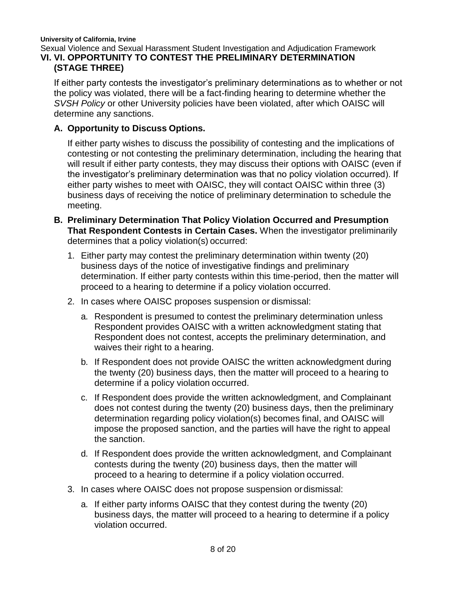## **(STAGE THREE)** If either party contests the investigator's preliminary determinations as to whether or not the policy was violated, there will be a fact-finding hearing to determine whether the *SVSH Policy* or other University policies have been violated, after which OAISC will

# determine any sanctions. **A. Opportunity to Discuss Options.**

If either party wishes to discuss the possibility of contesting and the implications of contesting or not contesting the preliminary determination, including the hearing that will result if either party contests, they may discuss their options with OAISC (even if the investigator's preliminary determination was that no policy violation occurred). If either party wishes to meet with OAISC, they will contact OAISC within three (3) business days of receiving the notice of preliminary determination to schedule the meeting.

- **B. Preliminary Determination That Policy Violation Occurred and Presumption That Respondent Contests in Certain Cases.** When the investigator preliminarily determines that a policy violation(s) occurred:
	- 1. Either party may contest the preliminary determination within twenty (20) business days of the notice of investigative findings and preliminary determination. If either party contests within this time-period, then the matter will proceed to a hearing to determine if a policy violation occurred.
	- 2. In cases where OAISC proposes suspension or dismissal:
		- a. Respondent is presumed to contest the preliminary determination unless Respondent provides OAISC with a written acknowledgment stating that Respondent does not contest, accepts the preliminary determination, and waives their right to a hearing.
		- b. If Respondent does not provide OAISC the written acknowledgment during the twenty (20) business days, then the matter will proceed to a hearing to determine if a policy violation occurred.
		- c. If Respondent does provide the written acknowledgment, and Complainant does not contest during the twenty (20) business days, then the preliminary determination regarding policy violation(s) becomes final, and OAISC will impose the proposed sanction, and the parties will have the right to appeal the sanction.
		- d. If Respondent does provide the written acknowledgment, and Complainant contests during the twenty (20) business days, then the matter will proceed to a hearing to determine if a policy violation occurred.
	- 3. In cases where OAISC does not propose suspension or dismissal:
		- a. If either party informs OAISC that they contest during the twenty (20) business days, the matter will proceed to a hearing to determine if a policy violation occurred.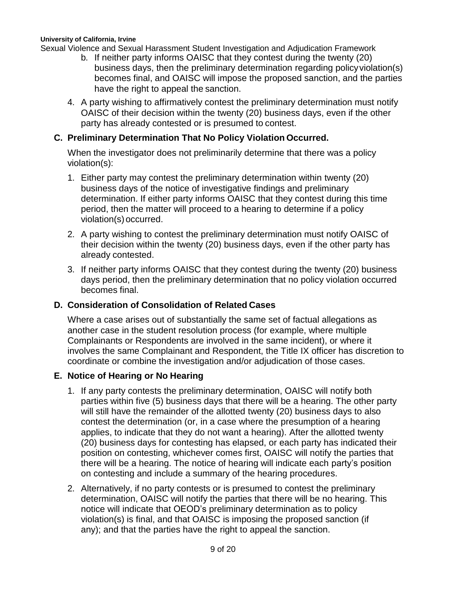Sexual Violence and Sexual Harassment Student Investigation and Adjudication Framework

- b. If neither party informs OAISC that they contest during the twenty (20) business days, then the preliminary determination regarding policyviolation(s) becomes final, and OAISC will impose the proposed sanction, and the parties have the right to appeal the sanction.
- 4. A party wishing to affirmatively contest the preliminary determination must notify OAISC of their decision within the twenty (20) business days, even if the other party has already contested or is presumed to contest.

## **C. Preliminary Determination That No Policy Violation Occurred.**

When the investigator does not preliminarily determine that there was a policy violation(s):

- 1. Either party may contest the preliminary determination within twenty (20) business days of the notice of investigative findings and preliminary determination. If either party informs OAISC that they contest during this time period, then the matter will proceed to a hearing to determine if a policy violation(s) occurred.
- 2. A party wishing to contest the preliminary determination must notify OAISC of their decision within the twenty (20) business days, even if the other party has already contested.
- 3. If neither party informs OAISC that they contest during the twenty (20) business days period, then the preliminary determination that no policy violation occurred becomes final.

# **D. Consideration of Consolidation of Related Cases**

Where a case arises out of substantially the same set of factual allegations as another case in the student resolution process (for example, where multiple Complainants or Respondents are involved in the same incident), or where it involves the same Complainant and Respondent, the Title IX officer has discretion to coordinate or combine the investigation and/or adjudication of those cases.

### **E. Notice of Hearing or No Hearing**

- 1. If any party contests the preliminary determination, OAISC will notify both parties within five (5) business days that there will be a hearing. The other party will still have the remainder of the allotted twenty (20) business days to also contest the determination (or, in a case where the presumption of a hearing applies, to indicate that they do not want a hearing). After the allotted twenty (20) business days for contesting has elapsed, or each party has indicated their position on contesting, whichever comes first, OAISC will notify the parties that there will be a hearing. The notice of hearing will indicate each party's position on contesting and include a summary of the hearing procedures.
- 2. Alternatively, if no party contests or is presumed to contest the preliminary determination, OAISC will notify the parties that there will be no hearing. This notice will indicate that OEOD's preliminary determination as to policy violation(s) is final, and that OAISC is imposing the proposed sanction (if any); and that the parties have the right to appeal the sanction.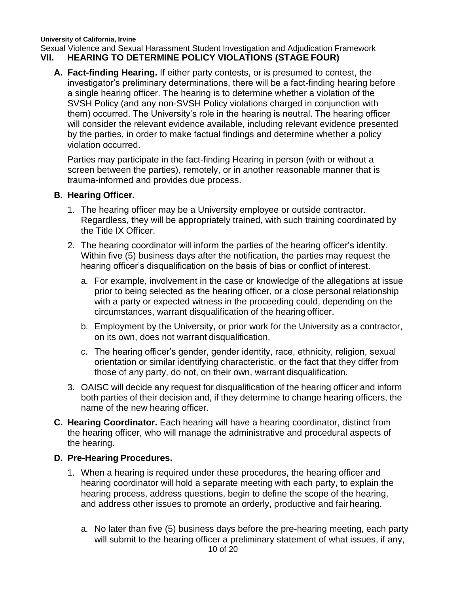**University of California, Irvine**  Sexual Violence and Sexual Harassment Student Investigation and Adjudication Framework **VII. HEARING TO DETERMINE POLICY VIOLATIONS (STAGE FOUR)**

**A. Fact-finding Hearing.** If either party contests, or is presumed to contest, the investigator's preliminary determinations, there will be a fact-finding hearing before a single hearing officer. The hearing is to determine whether a violation of the SVSH Policy (and any non-SVSH Policy violations charged in conjunction with them) occurred. The University's role in the hearing is neutral. The hearing officer will consider the relevant evidence available, including relevant evidence presented by the parties, in order to make factual findings and determine whether a policy violation occurred.

Parties may participate in the fact-finding Hearing in person (with or without a screen between the parties), remotely, or in another reasonable manner that is trauma-informed and provides due process.

## **B. Hearing Officer.**

- 1. The hearing officer may be a University employee or outside contractor. Regardless, they will be appropriately trained, with such training coordinated by the Title IX Officer.
- 2. The hearing coordinator will inform the parties of the hearing officer's identity. Within five (5) business days after the notification, the parties may request the hearing officer's disqualification on the basis of bias or conflict of interest.
	- a. For example, involvement in the case or knowledge of the allegations at issue prior to being selected as the hearing officer, or a close personal relationship with a party or expected witness in the proceeding could, depending on the circumstances, warrant disqualification of the hearing officer.
	- b. Employment by the University, or prior work for the University as a contractor, on its own, does not warrant disqualification.
	- c. The hearing officer's gender, gender identity, race, ethnicity, religion, sexual orientation or similar identifying characteristic, or the fact that they differ from those of any party, do not, on their own, warrant disqualification.
- 3. OAISC will decide any request for disqualification of the hearing officer and inform both parties of their decision and, if they determine to change hearing officers, the name of the new hearing officer.
- **C. Hearing Coordinator.** Each hearing will have a hearing coordinator, distinct from the hearing officer, who will manage the administrative and procedural aspects of the hearing.

### **D. Pre-Hearing Procedures.**

- 1. When a hearing is required under these procedures, the hearing officer and hearing coordinator will hold a separate meeting with each party, to explain the hearing process, address questions, begin to define the scope of the hearing, and address other issues to promote an orderly, productive and fair hearing.
	- 10 of 20 a. No later than five (5) business days before the pre-hearing meeting, each party will submit to the hearing officer a preliminary statement of what issues, if any,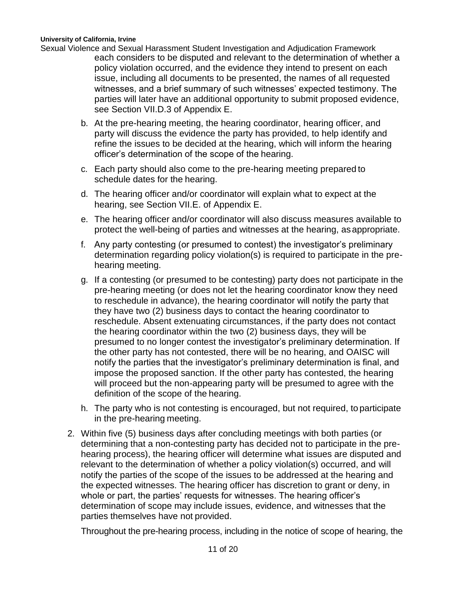Sexual Violence and Sexual Harassment Student Investigation and Adjudication Framework each considers to be disputed and relevant to the determination of whether a policy violation occurred, and the evidence they intend to present on each issue, including all documents to be presented, the names of all requested witnesses, and a brief summary of such witnesses' expected testimony. The parties will later have an additional opportunity to submit proposed evidence, see Section VII.D.3 of Appendix E.

- b. At the pre-hearing meeting, the hearing coordinator, hearing officer, and party will discuss the evidence the party has provided, to help identify and refine the issues to be decided at the hearing, which will inform the hearing officer's determination of the scope of the hearing.
- c. Each party should also come to the pre-hearing meeting prepared to schedule dates for the hearing.
- d. The hearing officer and/or coordinator will explain what to expect at the hearing, see Section VII.E. of Appendix E.
- e. The hearing officer and/or coordinator will also discuss measures available to protect the well-being of parties and witnesses at the hearing, asappropriate.
- f. Any party contesting (or presumed to contest) the investigator's preliminary determination regarding policy violation(s) is required to participate in the prehearing meeting.
- g. If a contesting (or presumed to be contesting) party does not participate in the pre-hearing meeting (or does not let the hearing coordinator know they need to reschedule in advance), the hearing coordinator will notify the party that they have two (2) business days to contact the hearing coordinator to reschedule. Absent extenuating circumstances, if the party does not contact the hearing coordinator within the two (2) business days, they will be presumed to no longer contest the investigator's preliminary determination. If the other party has not contested, there will be no hearing, and OAISC will notify the parties that the investigator's preliminary determination is final, and impose the proposed sanction. If the other party has contested, the hearing will proceed but the non-appearing party will be presumed to agree with the definition of the scope of the hearing.
- h. The party who is not contesting is encouraged, but not required, to participate in the pre-hearing meeting.
- 2. Within five (5) business days after concluding meetings with both parties (or determining that a non-contesting party has decided not to participate in the prehearing process), the hearing officer will determine what issues are disputed and relevant to the determination of whether a policy violation(s) occurred, and will notify the parties of the scope of the issues to be addressed at the hearing and the expected witnesses. The hearing officer has discretion to grant or deny, in whole or part, the parties' requests for witnesses. The hearing officer's determination of scope may include issues, evidence, and witnesses that the parties themselves have not provided.

Throughout the pre-hearing process, including in the notice of scope of hearing, the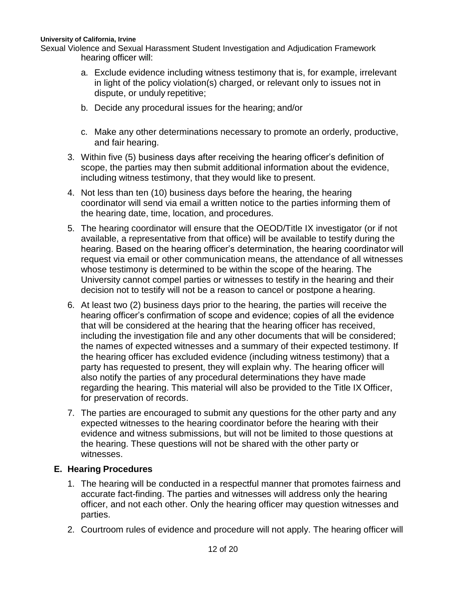Sexual Violence and Sexual Harassment Student Investigation and Adjudication Framework hearing officer will:

- a. Exclude evidence including witness testimony that is, for example, irrelevant in light of the policy violation(s) charged, or relevant only to issues not in dispute, or unduly repetitive;
- b. Decide any procedural issues for the hearing; and/or
- c. Make any other determinations necessary to promote an orderly, productive, and fair hearing.
- 3. Within five (5) business days after receiving the hearing officer's definition of scope, the parties may then submit additional information about the evidence, including witness testimony, that they would like to present.
- 4. Not less than ten (10) business days before the hearing, the hearing coordinator will send via email a written notice to the parties informing them of the hearing date, time, location, and procedures.
- 5. The hearing coordinator will ensure that the OEOD/Title IX investigator (or if not available, a representative from that office) will be available to testify during the hearing. Based on the hearing officer's determination, the hearing coordinator will request via email or other communication means, the attendance of all witnesses whose testimony is determined to be within the scope of the hearing. The University cannot compel parties or witnesses to testify in the hearing and their decision not to testify will not be a reason to cancel or postpone a hearing.
- 6. At least two (2) business days prior to the hearing, the parties will receive the hearing officer's confirmation of scope and evidence; copies of all the evidence that will be considered at the hearing that the hearing officer has received, including the investigation file and any other documents that will be considered; the names of expected witnesses and a summary of their expected testimony. If the hearing officer has excluded evidence (including witness testimony) that a party has requested to present, they will explain why. The hearing officer will also notify the parties of any procedural determinations they have made regarding the hearing. This material will also be provided to the Title IX Officer, for preservation of records.
- 7. The parties are encouraged to submit any questions for the other party and any expected witnesses to the hearing coordinator before the hearing with their evidence and witness submissions, but will not be limited to those questions at the hearing. These questions will not be shared with the other party or witnesses.

# **E. Hearing Procedures**

- 1. The hearing will be conducted in a respectful manner that promotes fairness and accurate fact-finding. The parties and witnesses will address only the hearing officer, and not each other. Only the hearing officer may question witnesses and parties.
- 2. Courtroom rules of evidence and procedure will not apply. The hearing officer will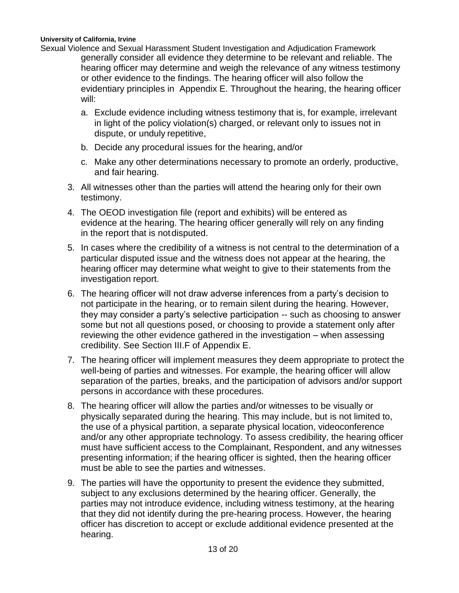Sexual Violence and Sexual Harassment Student Investigation and Adjudication Framework generally consider all evidence they determine to be relevant and reliable. The hearing officer may determine and weigh the relevance of any witness testimony or other evidence to the findings. The hearing officer will also follow the evidentiary principles in Appendix E. Throughout the hearing, the hearing officer will:

- a. Exclude evidence including witness testimony that is, for example, irrelevant in light of the policy violation(s) charged, or relevant only to issues not in dispute, or unduly repetitive,
- b. Decide any procedural issues for the hearing, and/or
- c. Make any other determinations necessary to promote an orderly, productive, and fair hearing.
- 3. All witnesses other than the parties will attend the hearing only for their own testimony.
- 4. The OEOD investigation file (report and exhibits) will be entered as evidence at the hearing. The hearing officer generally will rely on any finding in the report that is notdisputed.
- 5. In cases where the credibility of a witness is not central to the determination of a particular disputed issue and the witness does not appear at the hearing, the hearing officer may determine what weight to give to their statements from the investigation report.
- 6. The hearing officer will not draw adverse inferences from a party's decision to not participate in the hearing, or to remain silent during the hearing. However, they may consider a party's selective participation -- such as choosing to answer some but not all questions posed, or choosing to provide a statement only after reviewing the other evidence gathered in the investigation – when assessing credibility. See Section III.F of Appendix E.
- 7. The hearing officer will implement measures they deem appropriate to protect the well-being of parties and witnesses. For example, the hearing officer will allow separation of the parties, breaks, and the participation of advisors and/or support persons in accordance with these procedures.
- 8. The hearing officer will allow the parties and/or witnesses to be visually or physically separated during the hearing. This may include, but is not limited to, the use of a physical partition, a separate physical location, videoconference and/or any other appropriate technology. To assess credibility, the hearing officer must have sufficient access to the Complainant, Respondent, and any witnesses presenting information; if the hearing officer is sighted, then the hearing officer must be able to see the parties and witnesses.
- 9. The parties will have the opportunity to present the evidence they submitted, subject to any exclusions determined by the hearing officer. Generally, the parties may not introduce evidence, including witness testimony, at the hearing that they did not identify during the pre-hearing process. However, the hearing officer has discretion to accept or exclude additional evidence presented at the hearing.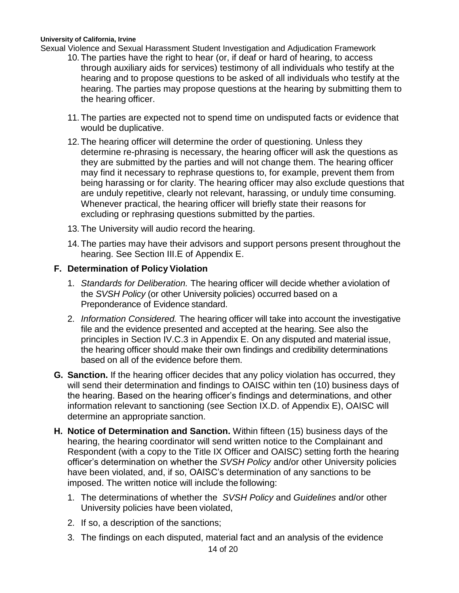Sexual Violence and Sexual Harassment Student Investigation and Adjudication Framework

- 10. The parties have the right to hear (or, if deaf or hard of hearing, to access through auxiliary aids for services) testimony of all individuals who testify at the hearing and to propose questions to be asked of all individuals who testify at the hearing. The parties may propose questions at the hearing by submitting them to the hearing officer.
- 11. The parties are expected not to spend time on undisputed facts or evidence that would be duplicative.
- 12. The hearing officer will determine the order of questioning. Unless they determine re-phrasing is necessary, the hearing officer will ask the questions as they are submitted by the parties and will not change them. The hearing officer may find it necessary to rephrase questions to, for example, prevent them from being harassing or for clarity. The hearing officer may also exclude questions that are unduly repetitive, clearly not relevant, harassing, or unduly time consuming. Whenever practical, the hearing officer will briefly state their reasons for excluding or rephrasing questions submitted by the parties.
- 13. The University will audio record the hearing.
- 14. The parties may have their advisors and support persons present throughout the hearing. See Section III.E of Appendix E.

### **F. Determination of Policy Violation**

- 1. *Standards for Deliberation.* The hearing officer will decide whether aviolation of the *SVSH Policy* (or other University policies) occurred based on a Preponderance of Evidence standard.
- 2. *Information Considered.* The hearing officer will take into account the investigative file and the evidence presented and accepted at the hearing. See also the principles in Section IV.C.3 in Appendix E. On any disputed and material issue, the hearing officer should make their own findings and credibility determinations based on all of the evidence before them.
- **G. Sanction.** If the hearing officer decides that any policy violation has occurred, they will send their determination and findings to OAISC within ten (10) business days of the hearing. Based on the hearing officer's findings and determinations, and other information relevant to sanctioning (see Section IX.D. of Appendix E), OAISC will determine an appropriate sanction.
- **H. Notice of Determination and Sanction.** Within fifteen (15) business days of the hearing, the hearing coordinator will send written notice to the Complainant and Respondent (with a copy to the Title IX Officer and OAISC) setting forth the hearing officer's determination on whether the *SVSH Policy* and/or other University policies have been violated, and, if so, OAISC's determination of any sanctions to be imposed. The written notice will include the following:
	- 1. The determinations of whether the *SVSH Policy* and *Guidelines* and/or other University policies have been violated,
	- 2. If so, a description of the sanctions;
	- 3. The findings on each disputed, material fact and an analysis of the evidence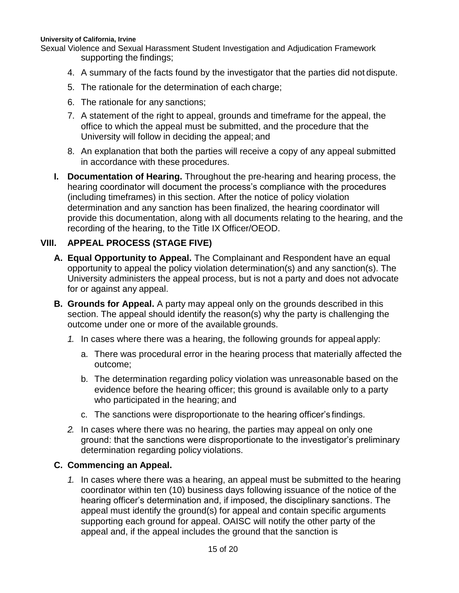Sexual Violence and Sexual Harassment Student Investigation and Adjudication Framework supporting the findings;

- 4. A summary of the facts found by the investigator that the parties did not dispute.
- 5. The rationale for the determination of each charge;
- 6. The rationale for any sanctions;
- 7. A statement of the right to appeal, grounds and timeframe for the appeal, the office to which the appeal must be submitted, and the procedure that the University will follow in deciding the appeal; and
- 8. An explanation that both the parties will receive a copy of any appeal submitted in accordance with these procedures.
- **I. Documentation of Hearing.** Throughout the pre-hearing and hearing process, the hearing coordinator will document the process's compliance with the procedures (including timeframes) in this section. After the notice of policy violation determination and any sanction has been finalized, the hearing coordinator will provide this documentation, along with all documents relating to the hearing, and the recording of the hearing, to the Title IX Officer/OEOD.

# **VIII. APPEAL PROCESS (STAGE FIVE)**

- **A. Equal Opportunity to Appeal.** The Complainant and Respondent have an equal opportunity to appeal the policy violation determination(s) and any sanction(s). The University administers the appeal process, but is not a party and does not advocate for or against any appeal.
- **B. Grounds for Appeal.** A party may appeal only on the grounds described in this section. The appeal should identify the reason(s) why the party is challenging the outcome under one or more of the available grounds.
	- *1.* In cases where there was a hearing, the following grounds for appeal apply:
		- a. There was procedural error in the hearing process that materially affected the outcome;
		- b. The determination regarding policy violation was unreasonable based on the evidence before the hearing officer; this ground is available only to a party who participated in the hearing; and
		- c. The sanctions were disproportionate to the hearing officer's findings.
	- *2.* In cases where there was no hearing, the parties may appeal on only one ground: that the sanctions were disproportionate to the investigator's preliminary determination regarding policy violations.

# **C. Commencing an Appeal.**

*1.* In cases where there was a hearing, an appeal must be submitted to the hearing coordinator within ten (10) business days following issuance of the notice of the hearing officer's determination and, if imposed, the disciplinary sanctions. The appeal must identify the ground(s) for appeal and contain specific arguments supporting each ground for appeal. OAISC will notify the other party of the appeal and, if the appeal includes the ground that the sanction is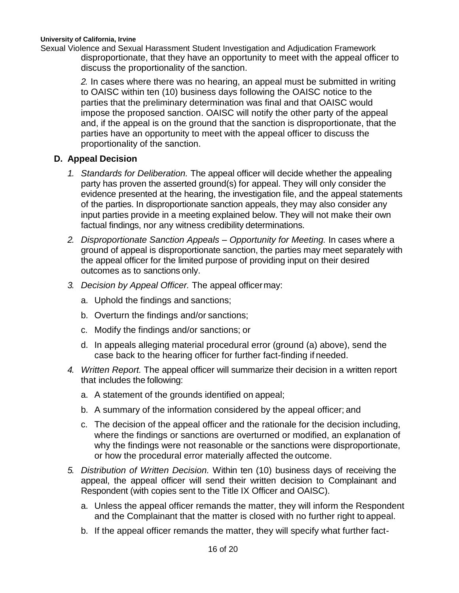Sexual Violence and Sexual Harassment Student Investigation and Adjudication Framework disproportionate, that they have an opportunity to meet with the appeal officer to discuss the proportionality of the sanction.

> *2.* In cases where there was no hearing, an appeal must be submitted in writing to OAISC within ten (10) business days following the OAISC notice to the parties that the preliminary determination was final and that OAISC would impose the proposed sanction. OAISC will notify the other party of the appeal and, if the appeal is on the ground that the sanction is disproportionate, that the parties have an opportunity to meet with the appeal officer to discuss the proportionality of the sanction.

# **D. Appeal Decision**

- *1. Standards for Deliberation.* The appeal officer will decide whether the appealing party has proven the asserted ground(s) for appeal. They will only consider the evidence presented at the hearing, the investigation file, and the appeal statements of the parties. In disproportionate sanction appeals, they may also consider any input parties provide in a meeting explained below. They will not make their own factual findings, nor any witness credibility determinations.
- *2. Disproportionate Sanction Appeals – Opportunity for Meeting.* In cases where a ground of appeal is disproportionate sanction, the parties may meet separately with the appeal officer for the limited purpose of providing input on their desired outcomes as to sanctions only.
- *3. Decision by Appeal Officer.* The appeal officermay:
	- a. Uphold the findings and sanctions;
	- b. Overturn the findings and/or sanctions;
	- c. Modify the findings and/or sanctions; or
	- d. In appeals alleging material procedural error (ground (a) above), send the case back to the hearing officer for further fact-finding if needed.
- *4. Written Report.* The appeal officer will summarize their decision in a written report that includes the following:
	- a. A statement of the grounds identified on appeal;
	- b. A summary of the information considered by the appeal officer; and
	- c. The decision of the appeal officer and the rationale for the decision including, where the findings or sanctions are overturned or modified, an explanation of why the findings were not reasonable or the sanctions were disproportionate, or how the procedural error materially affected the outcome.
- *5. Distribution of Written Decision.* Within ten (10) business days of receiving the appeal, the appeal officer will send their written decision to Complainant and Respondent (with copies sent to the Title IX Officer and OAISC).
	- a. Unless the appeal officer remands the matter, they will inform the Respondent and the Complainant that the matter is closed with no further right to appeal.
	- b. If the appeal officer remands the matter, they will specify what further fact-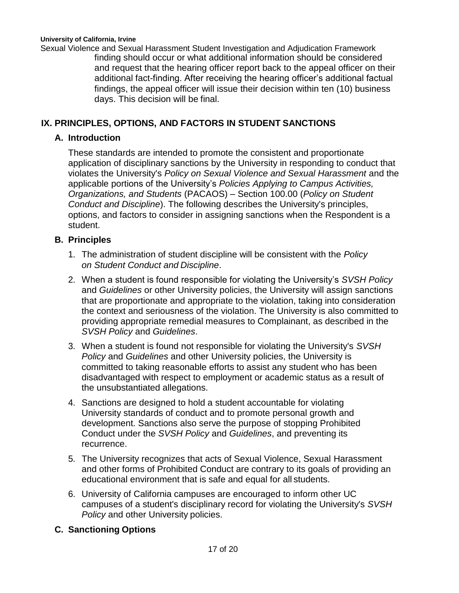Sexual Violence and Sexual Harassment Student Investigation and Adjudication Framework finding should occur or what additional information should be considered and request that the hearing officer report back to the appeal officer on their additional fact-finding. After receiving the hearing officer's additional factual findings, the appeal officer will issue their decision within ten (10) business days. This decision will be final.

## **IX. PRINCIPLES, OPTIONS, AND FACTORS IN STUDENT SANCTIONS**

### **A. Introduction**

These standards are intended to promote the consistent and proportionate application of disciplinary sanctions by the University in responding to conduct that violates the University's *Policy on Sexual Violence and Sexual Harassment* and the applicable portions of the University's *Policies Applying to Campus Activities, Organizations, and Students* (PACAOS) – Section 100.00 (*Policy on Student Conduct and Discipline*). The following describes the University's principles, options, and factors to consider in assigning sanctions when the Respondent is a student.

## **B. Principles**

- 1. The administration of student discipline will be consistent with the *Policy on Student Conduct and Discipline*.
- 2. When a student is found responsible for violating the University's *SVSH Policy*  and *Guidelines* or other University policies, the University will assign sanctions that are proportionate and appropriate to the violation, taking into consideration the context and seriousness of the violation. The University is also committed to providing appropriate remedial measures to Complainant, as described in the *SVSH Policy* and *Guidelines*.
- 3. When a student is found not responsible for violating the University's *SVSH Policy* and *Guidelines* and other University policies, the University is committed to taking reasonable efforts to assist any student who has been disadvantaged with respect to employment or academic status as a result of the unsubstantiated allegations.
- 4. Sanctions are designed to hold a student accountable for violating University standards of conduct and to promote personal growth and development. Sanctions also serve the purpose of stopping Prohibited Conduct under the *SVSH Policy* and *Guidelines*, and preventing its recurrence.
- 5. The University recognizes that acts of Sexual Violence, Sexual Harassment and other forms of Prohibited Conduct are contrary to its goals of providing an educational environment that is safe and equal for all students.
- 6. University of California campuses are encouraged to inform other UC campuses of a student's disciplinary record for violating the University's *SVSH Policy* and other University policies.

# **C. Sanctioning Options**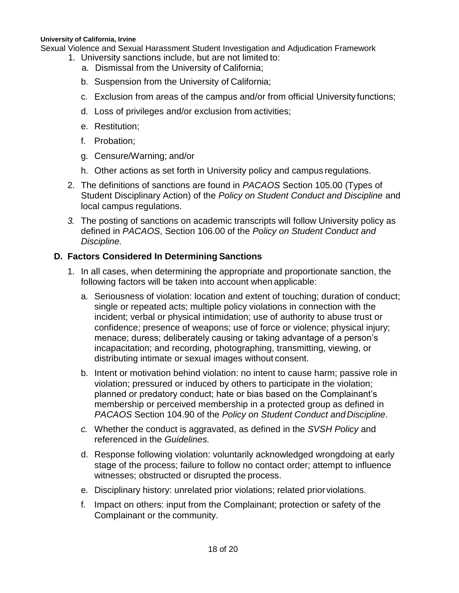Sexual Violence and Sexual Harassment Student Investigation and Adjudication Framework

- 1. University sanctions include, but are not limited to:
	- a. Dismissal from the University of California;
	- b. Suspension from the University of California;
	- c. Exclusion from areas of the campus and/or from official University functions;
	- d. Loss of privileges and/or exclusion from activities;
	- e. Restitution;
	- f. Probation;
	- g. Censure/Warning; and/or
	- h. Other actions as set forth in University policy and campus regulations.
- 2. The definitions of sanctions are found in *PACAOS* Section 105.00 (Types of Student Disciplinary Action) of the *Policy on Student Conduct and Discipline* and local campus regulations.
- *3.* The posting of sanctions on academic transcripts will follow University policy as defined in *PACAOS*, Section 106.00 of the *Policy on Student Conduct and Discipline.*

# **D. Factors Considered In Determining Sanctions**

- 1. In all cases, when determining the appropriate and proportionate sanction, the following factors will be taken into account when applicable:
	- a. Seriousness of violation: location and extent of touching; duration of conduct; single or repeated acts; multiple policy violations in connection with the incident; verbal or physical intimidation; use of authority to abuse trust or confidence; presence of weapons; use of force or violence; physical injury; menace; duress; deliberately causing or taking advantage of a person's incapacitation; and recording, photographing, transmitting, viewing, or distributing intimate or sexual images without consent.
	- b. Intent or motivation behind violation: no intent to cause harm; passive role in violation; pressured or induced by others to participate in the violation; planned or predatory conduct; hate or bias based on the Complainant's membership or perceived membership in a protected group as defined in *PACAOS* Section 104.90 of the *Policy on Student Conduct and Discipline*.
	- *c.* Whether the conduct is aggravated, as defined in the *SVSH Policy* and referenced in the *Guidelines.*
	- d. Response following violation: voluntarily acknowledged wrongdoing at early stage of the process; failure to follow no contact order; attempt to influence witnesses; obstructed or disrupted the process.
	- e. Disciplinary history: unrelated prior violations; related priorviolations.
	- f. Impact on others: input from the Complainant; protection or safety of the Complainant or the community.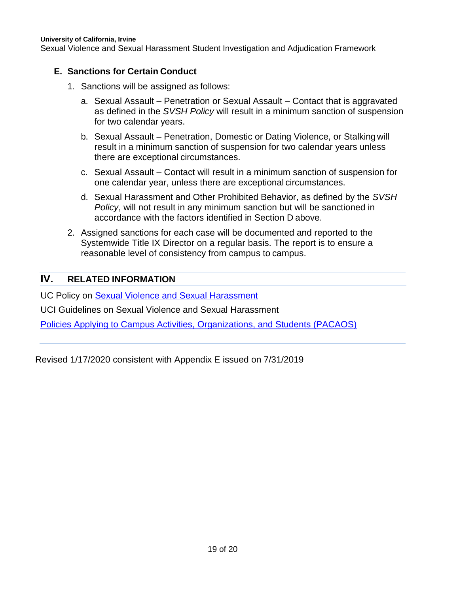Sexual Violence and Sexual Harassment Student Investigation and Adjudication Framework

### **E. Sanctions for Certain Conduct**

- 1. Sanctions will be assigned as follows:
	- a. Sexual Assault Penetration or Sexual Assault Contact that is aggravated as defined in the *SVSH Policy* will result in a minimum sanction of suspension for two calendar years.
	- b. Sexual Assault Penetration, Domestic or Dating Violence, or Stalking will result in a minimum sanction of suspension for two calendar years unless there are exceptional circumstances.
	- c. Sexual Assault Contact will result in a minimum sanction of suspension for one calendar year, unless there are exceptional circumstances.
	- d. Sexual Harassment and Other Prohibited Behavior, as defined by the *SVSH Policy*, will not result in any minimum sanction but will be sanctioned in accordance with the factors identified in Section D above.
- 2. Assigned sanctions for each case will be documented and reported to the Systemwide Title IX Director on a regular basis. The report is to ensure a reasonable level of consistency from campus to campus.

### **IV. RELATED INFORMATION**

UC Policy on **Sexual Violence and [Sexual](https://policy.ucop.edu/doc/4000385/SVSH) Harassment** 

UCI Guidelines on Sexual Violence and Sexual Harassment

[Policies Applying to Campus Activities, Organizations, and Students \(PACAOS\)](http://policy.ucop.edu/doc/2710530/PACAOS-100)

Revised 1/17/2020 consistent with Appendix E issued on 7/31/2019